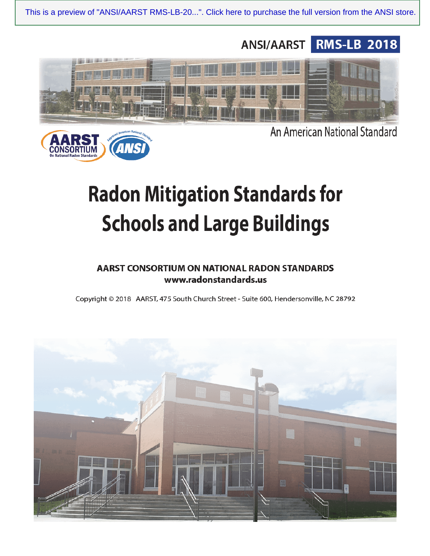This is a preview of "ANSI/AARST RMS-LB-20...". Click here to purchase the full version from the ANSI store.





An American National Standard

# **Radon Mitigation Standards for Schools and Large Buildings**

# AARST CONSORTIUM ON NATIONAL RADON STANDARDS www.radonstandards.us

Copyright © 2018 AARST, 475 South Church Street - Suite 600, Hendersonville, NC 28792

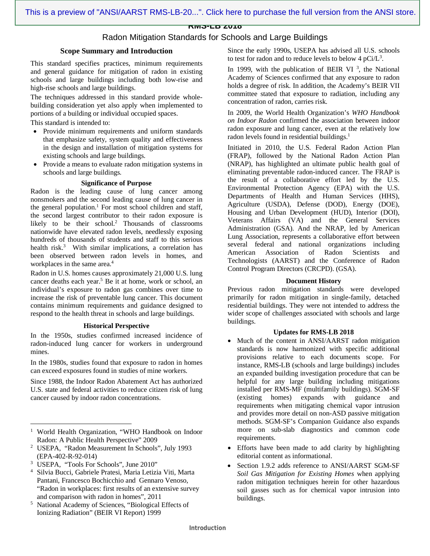**RMS-LB 2018**

# Radon Mitigation Standards for Schools and Large Buildings

# **Scope Summary and Introduction**

This standard specifies practices, minimum requirements and general guidance for mitigation of radon in existing schools and large buildings including both low-rise and high-rise schools and large buildings.

The techniques addressed in this standard provide wholebuilding consideration yet also apply when implemented to portions of a building or individual occupied spaces.

This standard is intended to:

- Provide minimum requirements and uniform standards that emphasize safety, system quality and effectiveness in the design and installation of mitigation systems for existing schools and large buildings.
- Provide a means to evaluate radon mitigation systems in schools and large buildings.

# **Significance of Purpose**

Radon is the leading cause of lung cancer among nonsmokers and the second leading cause of lung cancer in the general population.<sup>1</sup> For most school children and staff, the second largest contributor to their radon exposure is likely to be their school.<sup>2</sup> Thousands of classrooms nationwide have elevated radon levels, needlessly exposing hundreds of thousands of students and staff to this serious health risk.<sup>3</sup> With similar implications, a correlation has been observed between radon levels in homes, and workplaces in the same area.<sup>4</sup>

Radon in U.S. homes causes approximately 21,000 U.S. lung cancer deaths each year.<sup>5</sup> Be it at home, work or school, an individual's exposure to radon gas combines over time to increase the risk of preventable lung cancer. This document contains minimum requirements and guidance designed to respond to the health threat in schools and large buildings.

#### **Historical Perspective**

In the 1950s, studies confirmed increased incidence of radon-induced lung cancer for workers in underground mines.

In the 1980s, studies found that exposure to radon in homes can exceed exposures found in studies of mine workers.

Since 1988, the Indoor Radon Abatement Act has authorized U.S. state and federal activities to reduce citizen risk of lung cancer caused by indoor radon concentrations.

- USEPA, "Radon Measurement In Schools", July 1993 (EPA-402-R-92-014)
- <sup>3</sup> USEPA, "Tools For Schools", June 2010"

<u>.</u>

- 4 Silvia Bucci, Gabriele Pratesi, Maria Letizia Viti, Marta Pantani, Francesco Bochicchio and Gennaro Venoso, "Radon in workplaces: first results of an extensive survey
- and comparison with radon in homes", 2011<br>
<sup>5</sup> National Academy of Sciences "Biological l National Academy of Sciences, "Biological Effects of Ionizing Radiation" (BEIR VI Report) 1999

Since the early 1990s, USEPA has advised all U.S. schools to test for radon and to reduce levels to below  $4 \text{ pCi/L}^3$ .

In 1999, with the publication of BEIR VI<sup>3</sup>, the National Academy of Sciences confirmed that any exposure to radon holds a degree of risk. In addition, the Academy's BEIR VII committee stated that exposure to radiation, including any concentration of radon, carries risk.

In 2009, the World Health Organization's *WHO Handbook on Indoor Radon* confirmed the association between indoor radon exposure and lung cancer, even at the relatively low radon levels found in residential buildings.<sup>1</sup>

Initiated in 2010, the U.S. Federal Radon Action Plan (FRAP), followed by the National Radon Action Plan (NRAP), has highlighted an ultimate public health goal of eliminating preventable radon-induced cancer. The FRAP is the result of a collaborative effort led by the U.S. Environmental Protection Agency (EPA) with the U.S. Departments of Health and Human Services (HHS), Agriculture (USDA), Defense (DOD), Energy (DOE), Housing and Urban Development (HUD), Interior (DOI), Veterans Affairs (VA) and the General Services Administration (GSA). And the NRAP, led by American Lung Association, represents a collaborative effort between several federal and national organizations including American Association of Radon Scientists and Technologists (AARST) and the Conference of Radon Control Program Directors (CRCPD). (GSA).

#### **Document History**

Previous radon mitigation standards were developed primarily for radon mitigation in single-family, detached residential buildings. They were not intended to address the wider scope of challenges associated with schools and large buildings.

# **Updates for RMS-LB 2018**

- Much of the content in ANSI/AARST radon mitigation standards is now harmonized with specific additional provisions relative to each documents scope. For [instance, RMS-LB \(schools and large buildings\) includes](https://aarst-nrpp.com/wp/store/)  an expanded building investigation procedure that can be helpful for any large building including mitigations installed per RMS-MF (multifamily buildings). SGM-SF (existing homes) expands with guidance and requirements when mitigating chemical vapor intrusion and provides more detail on non-ASD passive mitigation methods. SGM-SF's Companion Guidance also expands more on sub-slab diagnostics and common code requirements.
- Efforts have been made to add clarity by highlighting editorial content as informational.
- Section 1.9.2 adds reference to ANSI/AARST SGM-SF *Soil Gas Mitigation for Existing Homes* when applying radon mitigation techniques herein for other hazardous soil gasses such as for chemical vapor intrusion into buildings.

<sup>&</sup>lt;sup>1</sup> World Health Organization, "WHO Handbook on Indoor Radon: A Public Health Perspective" 2009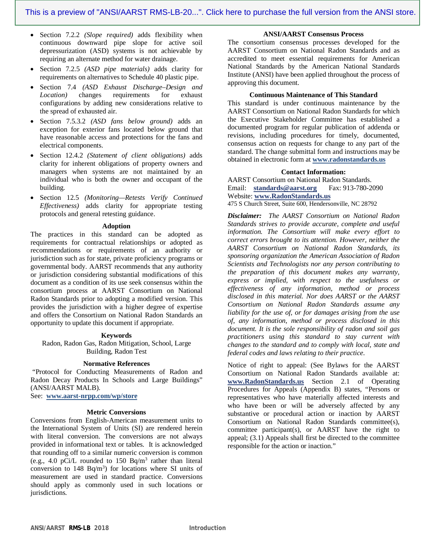- Section 7.2.2 *(Slope required)* adds flexibility when continuous downward pipe slope for active soil depressurization (ASD) systems is not achievable by requiring an alternate method for water drainage.
- Section 7.2.5 *(ASD pipe materials)* adds clarity for requirements on alternatives to Schedule 40 plastic pipe.
- Section 7.4 *(ASD Exhaust Discharge–Design and Location)* changes requirements for exhaust configurations by adding new considerations relative to the spread of exhausted air.
- Section 7.5.3.2 *(ASD fans below ground)* adds an exception for exterior fans located below ground that have reasonable access and protections for the fans and electrical components.
- Section 12.4.2 *(Statement of client obligations)* adds clarity for inherent obligations of property owners and managers when systems are not maintained by an individual who is both the owner and occupant of the building.
- Section 12.5 *(Monitoring—Retests Verify Continued Effectiveness)* adds clarity for appropriate testing protocols and general retesting guidance.

#### **Adoption**

The practices in this standard can be adopted as requirements for contractual relationships or adopted as recommendations or requirements of an authority or jurisdiction such as for state, private proficiency programs or governmental body. AARST recommends that any authority or jurisdiction considering substantial modifications of this document as a condition of its use seek consensus within the consortium process at AARST Consortium on National Radon Standards prior to adopting a modified version. This provides the jurisdiction with a higher degree of expertise and offers the Consortium on National Radon Standards an opportunity to update this document if appropriate.

#### **Keywords**

Radon, Radon Gas, Radon Mitigation, School, Large Building, Radon Test

#### **Normative References**

 "Protocol for Conducting Measurements of Radon and Radon Decay Products In Schools and Large Buildings" (ANSI/AARST MALB).

See: **www.aarst-nrpp.com/wp/store** 

# **Metric Conversions**

Conversions from English-American measurement units to the International System of Units (SI) are rendered herein with literal conversion. The conversions are not always provided in informational text or tables. It is acknowledged that rounding off to a similar numeric conversion is common (e.g., 4.0 pCi/L rounded to  $150$  Bq/m<sup>3</sup> rather than literal conversion to  $148$  Bq/m<sup>3</sup>) for locations where SI units of measurement are used in standard practice. Conversions should apply as commonly used in such locations or jurisdictions.

#### **ANSI/AARST Consensus Process**

The consortium consensus processes developed for the AARST Consortium on National Radon Standards and as accredited to meet essential requirements for American National Standards by the American National Standards Institute (ANSI) have been applied throughout the process of approving this document.

#### **Continuous Maintenance of This Standard**

This standard is under continuous maintenance by the AARST Consortium on National Radon Standards for which the Executive Stakeholder Committee has established a documented program for regular publication of addenda or revisions, including procedures for timely, documented, consensus action on requests for change to any part of the standard. The change submittal form and instructions may be obtained in electronic form at **www.radonstandards.us**

#### **Contact Information:**

AARST Consortium on National Radon Standards. Email: **standards@aarst.org** [Fax: 913-780-2090](mailto:standards@aarst.org) Website: **www.RadonStandards.us** [475 S Church Street,](http://www.radonstandards.us/) Suite 600, Hendersonville, NC 28792

*Disclaimer: The AARST Consortium on National Radon Standards strives to provide accurate, complete and useful information. The Consortium will make every effort to correct errors brought to its attention. However, neither the AARST Consortium on National Radon Standards, its sponsoring organization the American Association of Radon Scientists and Technologists nor any person contributing to the preparation of this document makes any warranty, express or implied, with respect to the usefulness or effectiveness of any information, method or process disclosed in this material. Nor does AARST or the AARST Consortium on National Radon Standards assume any liability for the use of, or for damages arising from the use of, any information, method or process disclosed in this document. It is the sole responsibility of radon and soil gas practitioners using this standard to stay current with changes to the standard and to comply with local, state and federal codes and laws relating to their practice.*

Notice of right to appeal: (See Bylaws for the AARST Consortium on National Radon Standards available at: **www[.Ra](http://www.radonstandards.us/)donStandards[.u](http://www.radonstandards.us/)s** [Section 2.](http://www.radonstandards.us/)1 of Operating Procedures for Appeals (Appendix B) states, "Persons or representatives who have materially affected interests and who have been or will be adversely affected by any substantive or procedural action or inaction by AARST Consortium on National Radon Standards committee(s), committee participant(s), or AARST have the right to appeal; (3.1) Appeals shall first be directed to the committee responsible for the action or inaction."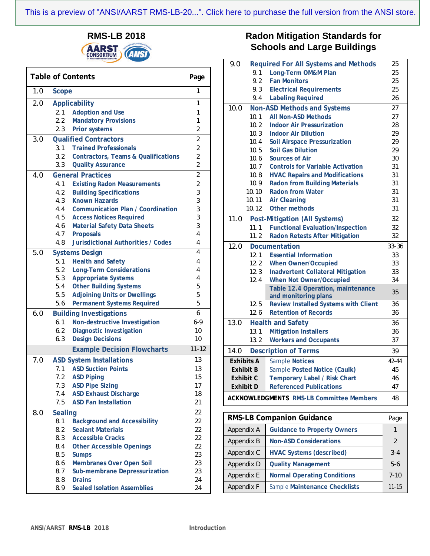**RMS-LB 2018 AARST ANS** 

Г

|     | <b>Table of Contents</b>        |                                                |                |
|-----|---------------------------------|------------------------------------------------|----------------|
| 1.0 | Scope                           |                                                | 1              |
| 2.0 | Applicability                   | 1                                              |                |
|     | 2.1                             | Adoption and Use                               | 1              |
|     | 2.2                             | <b>Mandatory Provisions</b>                    | 1              |
|     | 2.3                             | Prior systems                                  | $\overline{2}$ |
| 3.0 |                                 | <b>Qualified Contractors</b>                   | $\overline{2}$ |
|     | 3.1                             | <b>Trained Professionals</b>                   | $\overline{2}$ |
|     | 3.2                             | Contractors, Teams & Qualifications            | $\overline{2}$ |
|     | 3.3                             | <b>Quality Assurance</b>                       | $\overline{2}$ |
| 4.0 | <b>General Practices</b>        | $\overline{2}$                                 |                |
|     | 4.1                             | <b>Existing Radon Measurements</b>             | $\overline{2}$ |
|     | 4.2                             | <b>Building Specifications</b>                 | 3              |
|     | 4.3                             | <b>Known Hazards</b>                           | 3              |
|     | 4.4                             | Communication Plan / Coordination              | 3              |
|     | 4.5                             | <b>Access Notices Required</b>                 | 3              |
|     | 4.6                             | Material Safety Data Sheets                    | 3              |
|     | 4.7                             | Proposals                                      | 4              |
|     | 4.8                             | Jurisdictional Authorities / Codes             | 4              |
| 5.0 |                                 | <b>Systems Design</b>                          | 4              |
|     | 5.1                             | <b>Health and Safety</b>                       | 4              |
|     | 5.2                             | <b>Long-Term Considerations</b>                | 4              |
|     | 5.3                             | <b>Appropriate Systems</b>                     | 4              |
|     | 5.4                             | <b>Other Building Systems</b>                  | 5              |
|     | 5.5                             | <b>Adjoining Units or Dwellings</b>            | 5              |
|     | 5.6                             | Permanent Systems Required                     | 5              |
| 6.0 |                                 | <b>Building Investigations</b>                 | 6              |
|     | 6.1                             | Non-destructive Investigation                  | $6 - 9$        |
|     | 6.2                             | Diagnostic Investigation                       | 10             |
|     | 6.3                             | <b>Design Decisions</b>                        | 10             |
|     |                                 | <b>Example Decision Flowcharts</b>             | $11 - 12$      |
| 7.0 | <b>ASD System Installations</b> | 13                                             |                |
|     | 7.1                             | <b>ASD Suction Points</b>                      | 13             |
|     | 7.2                             | <b>ASD Piping</b>                              | 15             |
|     | 7.3                             | <b>ASD Pipe Sizing</b>                         | 17             |
|     | 7.4                             | <b>ASD Exhaust Discharge</b>                   | 18             |
|     | 7.5                             | <b>ASD Fan Installation</b>                    | 21             |
| 8.0 | Sealing                         |                                                | 22             |
|     | 8.1                             | <b>Background and Accessibility</b>            | 22             |
|     | 8.2                             | <b>Sealant Materials</b>                       | 22             |
|     | 8.3                             | <b>Accessible Cracks</b>                       | 22             |
|     | 8.4                             | <b>Other Accessible Openings</b>               | 22             |
|     | 8.5                             | <b>Sumps</b>                                   | 23             |
|     | 8.6<br>8.7                      | Membranes Over Open Soil                       | 23<br>23       |
|     | 8.8                             | Sub-membrane Depressurization<br><b>Drains</b> | 24             |
|     | 8.9                             | <b>Sealed Isolation Assemblies</b>             | 24             |
|     |                                 |                                                |                |

# **Radon Mitigation Standards for Schools and Large Buildings**

| 9.0                                                   |       | Required For All Systems and Methods                         | 25          |  |
|-------------------------------------------------------|-------|--------------------------------------------------------------|-------------|--|
|                                                       | 9.1   | Long-Term OM&M Plan                                          | 25          |  |
|                                                       | 9.2   | <b>Fan Monitors</b>                                          | 25          |  |
|                                                       | 9.3   | <b>Electrical Requirements</b>                               | 25          |  |
|                                                       | 9.4   | Labeling Required                                            | 26          |  |
| 10.0                                                  |       | Non-ASD Methods and Systems                                  | 27          |  |
|                                                       | 10.1  | All Non-ASD Methods                                          | 27          |  |
|                                                       | 10.2  | <b>Indoor Air Pressurization</b>                             | 28          |  |
|                                                       | 10.3  | <b>Indoor Air Dilution</b>                                   | 29          |  |
|                                                       | 10.4  | Soil Airspace Pressurization                                 | 29          |  |
|                                                       | 10.5  | Soil Gas Dilution                                            | 29          |  |
|                                                       | 10.6  | Sources of Air                                               | 30          |  |
|                                                       | 10.7  | <b>Controls for Variable Activation</b>                      | 31          |  |
|                                                       | 10.8  | <b>HVAC Repairs and Modifications</b>                        | 31          |  |
|                                                       | 10.9  | Radon from Building Materials                                | 31          |  |
|                                                       | 10.10 | <b>Radon from Water</b>                                      | 31          |  |
|                                                       | 10.11 | <b>Air Cleaning</b>                                          | 31          |  |
|                                                       | 10.12 | Other methods                                                | 31          |  |
| 11.0                                                  |       | Post-Mitigation (All Systems)                                | 32          |  |
|                                                       | 11.1  | <b>Functional Evaluation/Inspection</b>                      | 32          |  |
|                                                       | 11.2  | Radon Retests After Mitigation                               | 32          |  |
| 12.0<br>Documentation                                 |       |                                                              |             |  |
|                                                       | 12.1  | <b>Essential Information</b>                                 | 33          |  |
|                                                       | 12.2  | When Owner/Occupied                                          | 33          |  |
|                                                       | 12.3  | Inadvertent Collateral Mitigation                            | 33          |  |
|                                                       | 12.4  | When Not Owner/Occupied                                      | 34          |  |
|                                                       |       | Table 12.4 Operation, maintenance                            | 35          |  |
|                                                       | 12.5  | and monitoring plans<br>Review Installed Systems with Client | 36          |  |
|                                                       | 12.6  | <b>Retention of Records</b>                                  | 36          |  |
| 13.0                                                  |       | <b>Health and Safety</b>                                     | 36          |  |
|                                                       | 13.1  | <b>Mitigation Installers</b>                                 | 36          |  |
|                                                       | 13.2  | <b>Workers and Occupants</b>                                 | 37          |  |
|                                                       |       |                                                              |             |  |
| 14.0                                                  |       | <b>Description of Terms</b>                                  | 39          |  |
| <b>Exhibits A</b>                                     |       | <b>Sample Notices</b>                                        | 42-44<br>45 |  |
| Exhibit B                                             |       | Sample Posted Notice (Caulk)                                 |             |  |
| Exhibit C                                             |       | Temporary Label / Risk Chart                                 | 46          |  |
| <b>Referenced Publications</b><br>Exhibit D           |       | 47                                                           |             |  |
| <b>ACKNOWLEDGMENTS RMS-LB Committee Members</b><br>48 |       |                                                              |             |  |
| <b>RMS-LB Companion Guidance</b>                      |       |                                                              |             |  |
|                                                       |       |                                                              | Page        |  |
| Appendix A                                            |       | <b>Guidance to Property Owners</b>                           | 1           |  |
| Appendix B                                            |       | <b>Non-ASD Considerations</b>                                | 2           |  |

Appendix D **Quality Management** 5-6 Appendix E **Normal Operating Conditions** 7-10 Appendix F *Sample* **Maintenance Checklists** 11-15